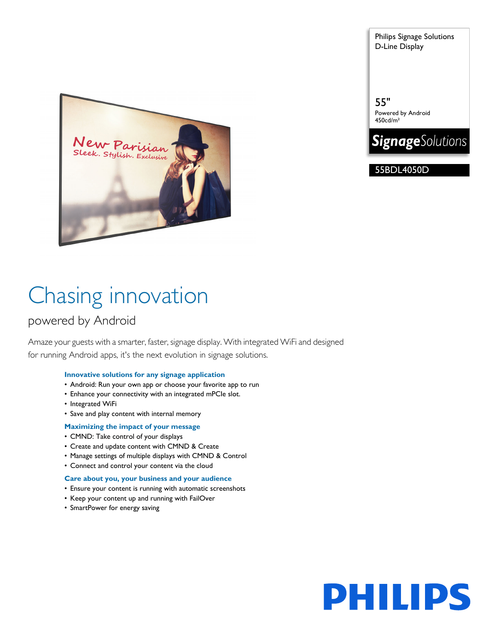Parisian ylish. Exclusive

Chasing innovation

### powered by Android

Amaze your guests with a smarter, faster, signage display. With integrated WiFi and designed for running Android apps, it's the next evolution in signage solutions.

#### **Innovative solutions for any signage application**

- Android: Run your own app or choose your favorite app to run
- Enhance your connectivity with an integrated mPCIe slot.
- Integrated WiFi
- Save and play content with internal memory

#### **Maximizing the impact of your message**

- CMND: Take control of your displays
- Create and update content with CMND & Create
- Manage settings of multiple displays with CMND & Control
- Connect and control your content via the cloud

#### **Care about you, your business and your audience**

- Ensure your content is running with automatic screenshots
- Keep your content up and running with FailOver
- SmartPower for energy saving

Philips Signage Solutions D-Line Display

55" Powered by Android 450cd/m²



55BDL4050D

# **PHILIPS**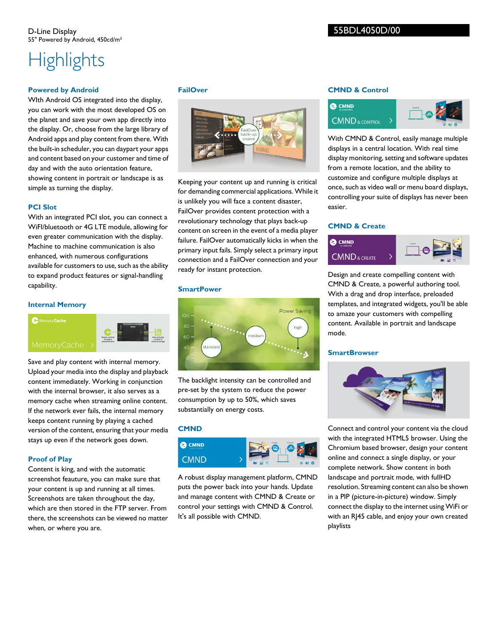## **Highlights**

#### **Powered by Android**

WIth Android OS integrated into the display, you can work with the most developed OS on the planet and save your own app directly into the display. Or, choose from the large library of Android apps and play content from there. With the built-in scheduler, you can daypart your apps and content based on your customer and time of day and with the auto orientation feature, showing content in portrait or landscape is as simple as turning the display.

#### **PCI Slot**

With an integrated PCI slot, you can connect a WiFI/bluetooth or 4G LTE module, allowing for even greater communication with the display. Machine to machine communication is also enhanced, with numerous configurations available for customers to use, such as the ability to expand product features or signal-handling capability.

#### **Internal Memory**

**C** Memory Cache



Save and play content with internal memory. Upload your media into the display and playback content immediately. Working in conjunction with the internal browser, it also serves as a memory cache when streaming online content. If the network ever fails, the internal memory keeps content running by playing a cached version of the content, ensuring that your media stays up even if the network goes down.

#### **Proof of Play**

Content is king, and with the automatic screenshot feauture, you can make sure that your content is up and running at all times. Screenshots are taken throughout the day, which are then stored in the FTP server. From there, the screenshots can be viewed no matter when, or where you are.

#### **FailOver**



Keeping your content up and running is critical for demanding commercial applications. While it is unlikely you will face a content disaster, FailOver provides content protection with a revolutionary technology that plays back-up content on screen in the event of a media player failure. FailOver automatically kicks in when the primary input fails. Simply select a primary input connection and a FailOver connection and your ready for instant protection.

#### **SmartPower**



The backlight intensity can be controlled and pre-set by the system to reduce the power consumption by up to 50%, which saves substantially on energy costs.

#### **CMND**



A robust display management platform, CMND puts the power back into your hands. Update and manage content with CMND & Create or control your settings with CMND & Control. It's all possible with CMND.

#### **CMND & Control**



With CMND & Control, easily manage multiple displays in a central location. With real time display monitoring, setting and software updates from a remote location, and the ability to customize and configure multiple displays at once, such as video wall or menu board displays, controlling your suite of displays has never been easier.

#### **CMND & Create**



Design and create compelling content with CMND & Create, a powerful authoring tool. With a drag and drop interface, preloaded templates, and integrated widgets, you'll be able to amaze your customers with compelling content. Available in portrait and landscape mode.

#### **SmartBrowser**



Connect and control your content via the cloud with the integrated HTML5 browser. Using the Chromium based browser, design your content online and connect a single display, or your complete network. Show content in both landscape and portrait mode, with fullHD resolution. Streaming content can also be shown in a PIP (picture-in-picture) window. Simply connect the display to the internet using WiFi or with an RJ45 cable, and enjoy your own created playlists